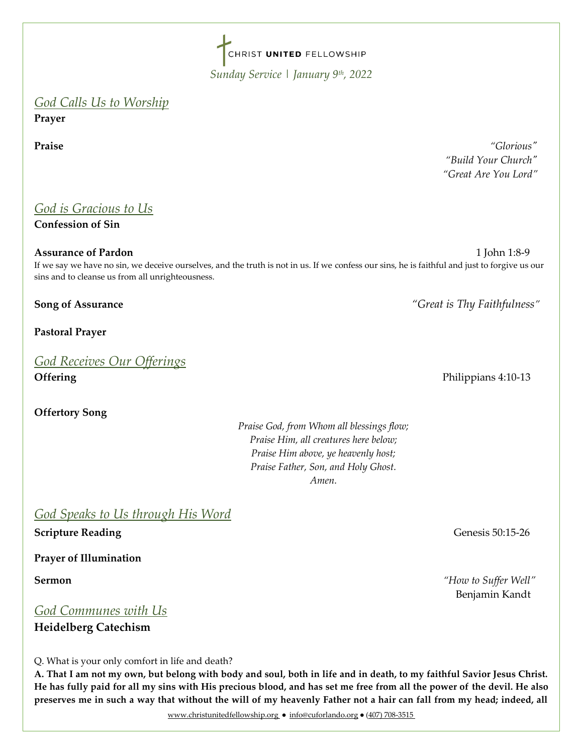CHRIST UNITED FELLOWSHIP

*Sunday Service | January 9th , 2022*

#### *God Calls Us to Worship*

**Prayer**

**Praise** *"Glorious" "Build Your Church" "Great Are You Lord"*

### *God is Gracious to Us*

#### **Confession of Sin**

#### **Assurance of Pardon** 1 John 1:8-9

If we say we have no sin, we deceive ourselves, and the truth is not in us. If we confess our sins, he is faithful and just to forgive us our sins and to cleanse us from all unrighteousness.

**Song of Assurance** *"Great is Thy Faithfulness"*

**Pastoral Prayer**

*God Receives Our Offerings* **Offering** Philippians 4:10-13

#### **Offertory Song**

*Praise God, from Whom all blessings flow; Praise Him, all creatures here below; Praise Him above, ye heavenly host; Praise Father, Son, and Holy Ghost. Amen.*

### *God Speaks to Us through His Word*

**Scripture Reading** Genesis 50:15-26

**Prayer of Illumination** 

### *God Communes with Us*

**Heidelberg Catechism** 

Q. What is your only comfort in life and death?

**A. That I am not my own, but belong with body and soul, both in life and in death, to my faithful Savior Jesus Christ. He has fully paid for all my sins with His precious blood, and has set me free from all the power of the devil. He also preserves me in such a way that without the will of my heavenly Father not a hair can fall from my head; indeed, all** 

www.christunitedfellowship.org ●  info@cuforlando.org ● (407) 708-3515

**Sermon** *"How to Suffer Well"* Benjamin Kandt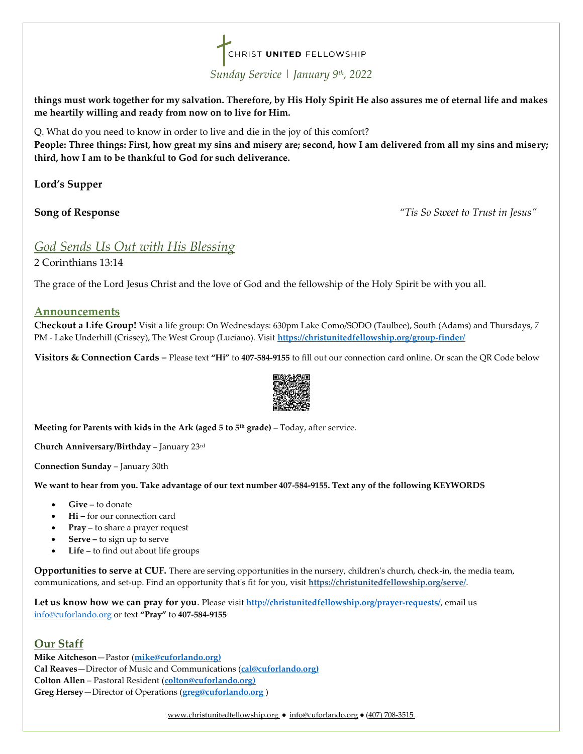# CHRIST UNITED FELLOWSHIP

#### *Sunday Service | January 9th , 2022*

**things must work together for my salvation. Therefore, by His Holy Spirit He also assures me of eternal life and makes me heartily willing and ready from now on to live for Him.**

Q. What do you need to know in order to live and die in the joy of this comfort?

**People: Three things: First, how great my sins and misery are; second, how I am delivered from all my sins and misery; third, how I am to be thankful to God for such deliverance.**

**Lord's Supper**

**Song of Response** *"Tis So Sweet to Trust in Jesus"* 

### *God Sends Us Out with His Blessing*

2 Corinthians 13:14

The grace of the Lord Jesus Christ and the love of God and the fellowship of the Holy Spirit be with you all.

#### **Announcements**

**Checkout a Life Group!** Visit a life group: On Wednesdays: 630pm Lake Como/SODO (Taulbee), South (Adams) and Thursdays, 7 PM - Lake Underhill (Crissey), The West Group (Luciano). Visit **<https://christunitedfellowship.org/group-finder/>**

**Visitors & Connection Cards –** Please text **"Hi"** to **407-584-9155** to fill out our connection card online. Or scan the QR Code below



**Meeting for Parents with kids in the Ark (aged 5 to 5th grade) –** Today, after service.

**Church Anniversary/Birthday –** January 23rd

**Connection Sunday** – January 30th

**We want to hear from you. Take advantage of our text number 407-584-9155. Text any of the following KEYWORDS**

- **Give –** to donate
- **Hi –** for our connection card
- **Pray –** to share a prayer request
- **Serve –** to sign up to serve
- **Life –** to find out about life groups

**Opportunities to serve at CUF.** There are serving opportunities in the nursery, children's church, check-in, the media team, communications, and set-up. Find an opportunity that's fit for you, visit **<https://christunitedfellowship.org/serve/>**.

**Let us know how we can pray for you**. Please visit **<http://christunitedfellowship.org/prayer-requests/>**, email us [info@cuforlando.org](mailto:info@cuforlando.org) or text **"Pray"** to **407-584-9155**

#### **Our Staff**

**Mike Aitcheson**—Pastor (**[mike@cuforlando.org\)](mailto:mike@cuforlando.org) Cal Reaves**—Director of Music and Communications (**[cal@cuforlando.org\)](mailto:cal@cuforlando.org) Colton Allen** – Pastoral Resident (**[colton@cuforlando.org\)](mailto:colton@cuforlando.org) Greg Hersey**—Director of Operations (**[greg@cuforlando.org](mailto:greg@cuforlando.org)** )

www.christunitedfellowship.org ●  info@cuforlando.org ● (407) 708-3515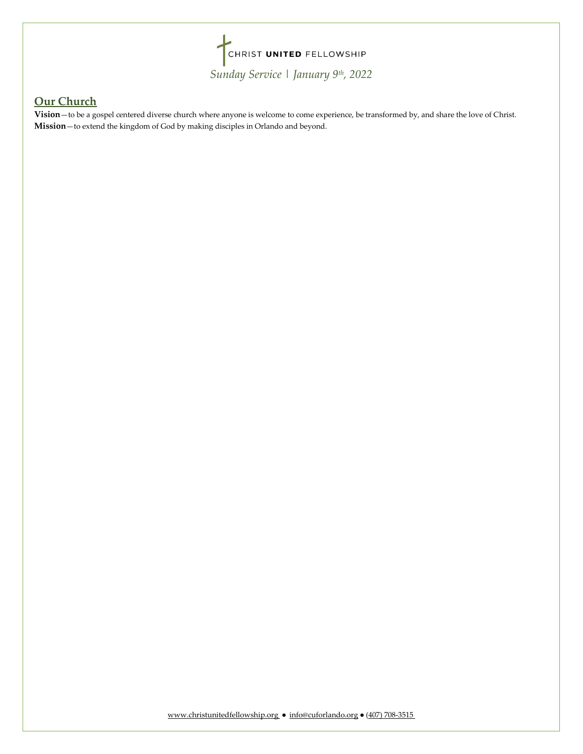CHRIST UNITED FELLOWSHIP

*Sunday Service | January 9th , 2022*

#### **Our Church**

**Vision**—to be a gospel centered diverse church where anyone is welcome to come experience, be transformed by, and share the love of Christ. **Mission**—to extend the kingdom of God by making disciples in Orlando and beyond.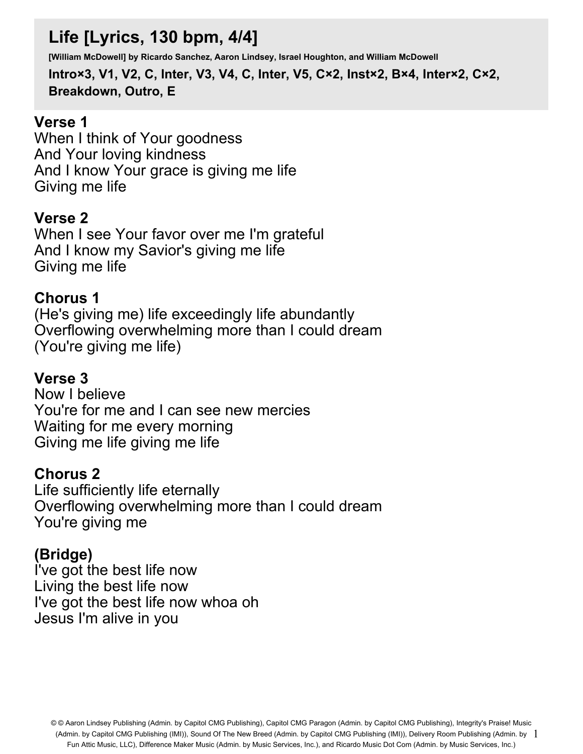# **Life [Lyrics, 130 bpm, 4/4]**

**[William McDowell] by Ricardo Sanchez, Aaron Lindsey, Israel Houghton, and William McDowell**

**Intro×3, V1, V2, C, Inter, V3, V4, C, Inter, V5, C×2, Inst×2, B×4, Inter×2, C×2, Breakdown, Outro, E**

### **Verse 1**

When I think of Your goodness And Your loving kindness And I know Your grace is giving me life Giving me life

## **Verse 2**

When I see Your favor over me I'm grateful And I know my Savior's giving me life Giving me life

### **Chorus 1**

(He's giving me) life exceedingly life abundantly Overflowing overwhelming more than I could dream (You're giving me life)

### **Verse 3**

Now I believe You're for me and I can see new mercies Waiting for me every morning Giving me life giving me life

### **Chorus 2**

Life sufficiently life eternally Overflowing overwhelming more than I could dream You're giving me

### **(Bridge)**

I've got the best life now Living the best life now I've got the best life now whoa oh Jesus I'm alive in you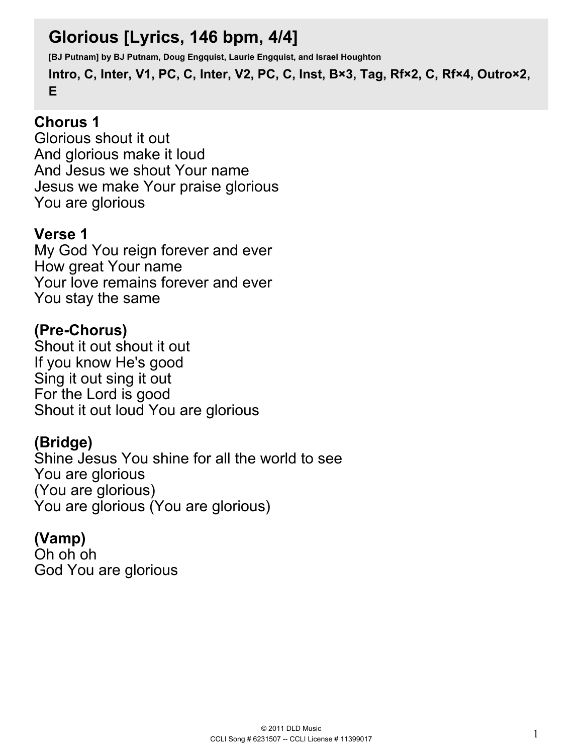# **Glorious [Lyrics, 146 bpm, 4/4]**

**[BJ Putnam] by BJ Putnam, Doug Engquist, Laurie Engquist, and Israel Houghton**

**Intro, C, Inter, V1, PC, C, Inter, V2, PC, C, Inst, B×3, Tag, Rf×2, C, Rf×4, Outro×2, E**

# **Chorus 1**

Glorious shout it out And glorious make it loud And Jesus we shout Your name Jesus we make Your praise glorious You are glorious

## **Verse 1**

My God You reign forever and ever How great Your name Your love remains forever and ever You stay the same

## **(Pre-Chorus)**

Shout it out shout it out If you know He's good Sing it out sing it out For the Lord is good Shout it out loud You are glorious

# **(Bridge)**

Shine Jesus You shine for all the world to see You are glorious (You are glorious) You are glorious (You are glorious)

# **(Vamp)**

Oh oh oh God You are glorious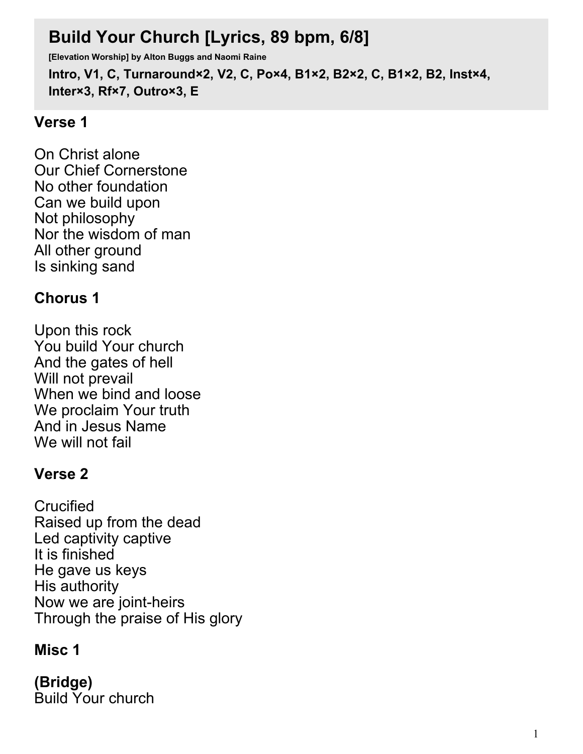# **Build Your Church [Lyrics, 89 bpm, 6/8]**

**[Elevation Worship] by Alton Buggs and Naomi Raine**

**Intro, V1, C, Turnaround×2, V2, C, Po×4, B1×2, B2×2, C, B1×2, B2, Inst×4, Inter×3, Rf×7, Outro×3, E**

## **Verse 1**

On Christ alone Our Chief Cornerstone No other foundation Can we build upon Not philosophy Nor the wisdom of man All other ground Is sinking sand

# **Chorus 1**

Upon this rock You build Your church And the gates of hell Will not prevail When we bind and loose We proclaim Your truth And in Jesus Name We will not fail

# **Verse 2**

**Crucified** Raised up from the dead Led captivity captive It is finished He gave us keys His authority Now we are joint-heirs Through the praise of His glory

# **Misc 1**

**(Bridge)** Build Your church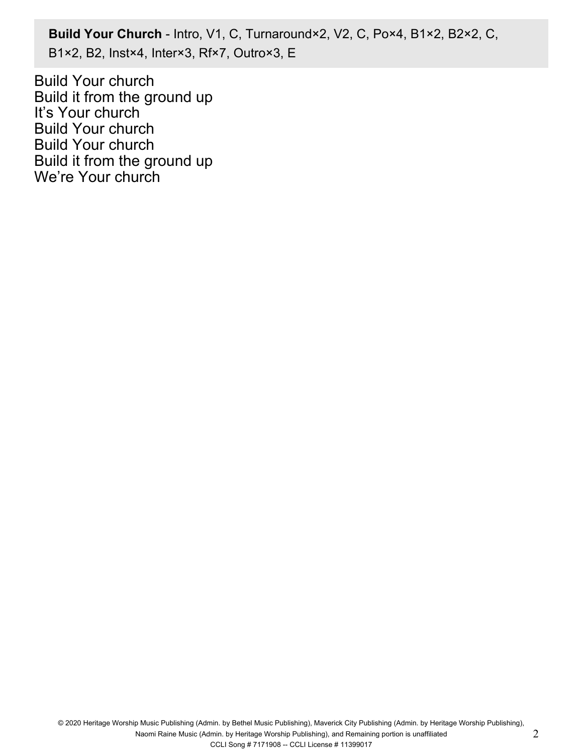**Build Your Church** - Intro, V1, C, Turnaround×2, V2, C, Po×4, B1×2, B2×2, C, B1×2, B2, Inst×4, Inter×3, Rf×7, Outro×3, E

Build Your church Build it from the ground up It's Your church Build Your church Build Your church Build it from the ground up We're Your church

2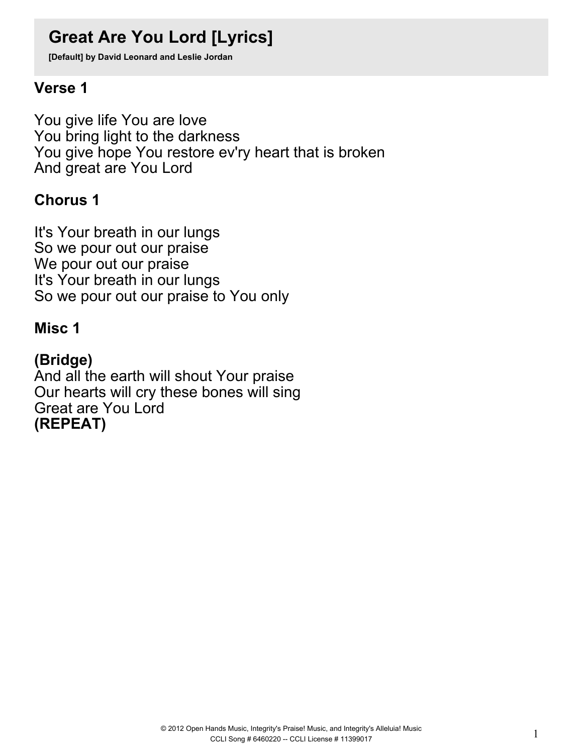# **Great Are You Lord [Lyrics]**

**[Default] by David Leonard and Leslie Jordan**

### **Verse 1**

You give life You are love You bring light to the darkness You give hope You restore ev'ry heart that is broken And great are You Lord

## **Chorus 1**

It's Your breath in our lungs So we pour out our praise We pour out our praise It's Your breath in our lungs So we pour out our praise to You only

### **Misc 1**

**(Bridge)** And all the earth will shout Your praise Our hearts will cry these bones will sing Great are You Lord **(REPEAT)**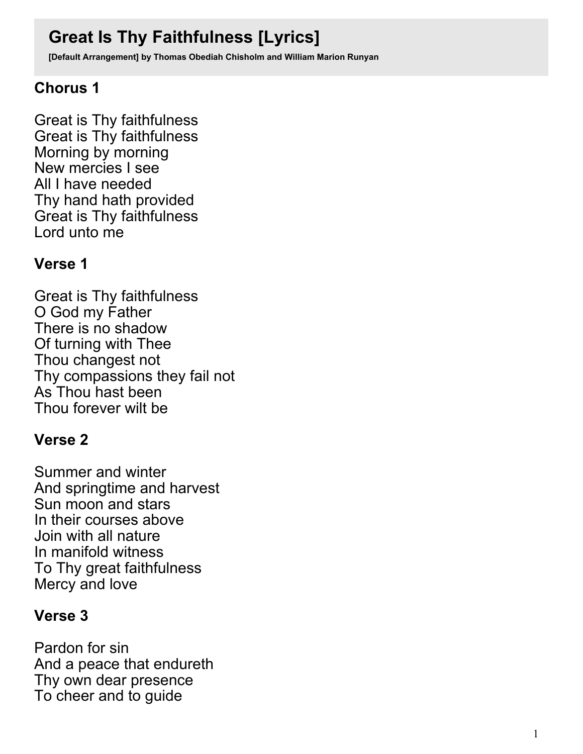# **Great Is Thy Faithfulness [Lyrics]**

**[Default Arrangement] by Thomas Obediah Chisholm and William Marion Runyan**

# **Chorus 1**

Great is Thy faithfulness Great is Thy faithfulness Morning by morning New mercies I see All I have needed Thy hand hath provided Great is Thy faithfulness Lord unto me

# **Verse 1**

Great is Thy faithfulness O God my Father There is no shadow Of turning with Thee Thou changest not Thy compassions they fail not As Thou hast been Thou forever wilt be

# **Verse 2**

Summer and winter And springtime and harvest Sun moon and stars In their courses above Join with all nature In manifold witness To Thy great faithfulness Mercy and love

# **Verse 3**

Pardon for sin And a peace that endureth Thy own dear presence To cheer and to guide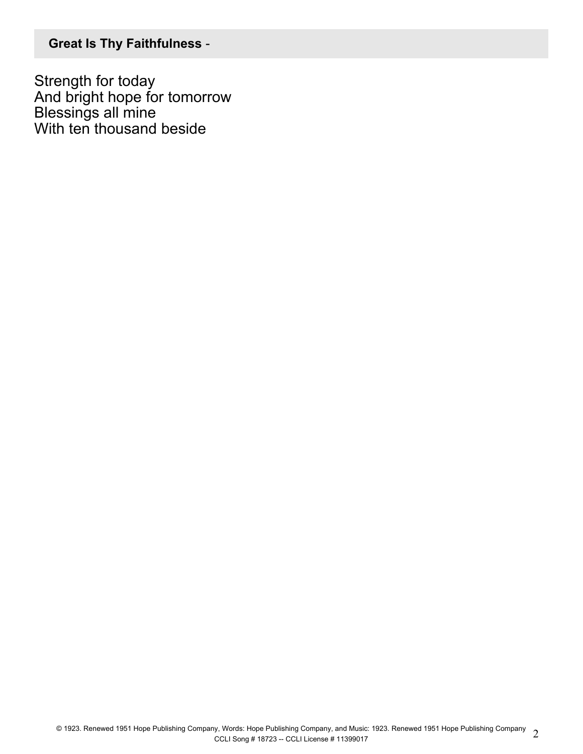### **Great Is Thy Faithfulness** -

Strength for today And bright hope for tomorrow Blessings all mine With ten thousand beside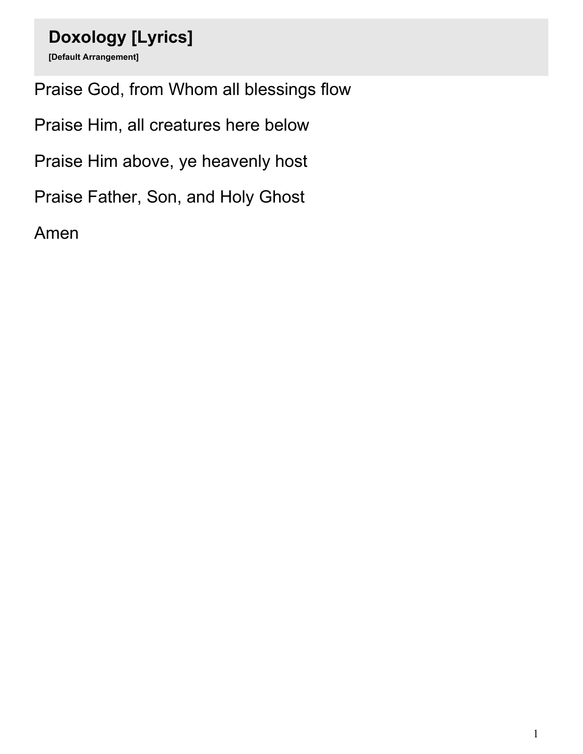# **Doxology [Lyrics]**

**[Default Arrangement]**

Praise God, from Whom all blessings flow

Praise Him, all creatures here below

Praise Him above, ye heavenly host

Praise Father, Son, and Holy Ghost

Amen